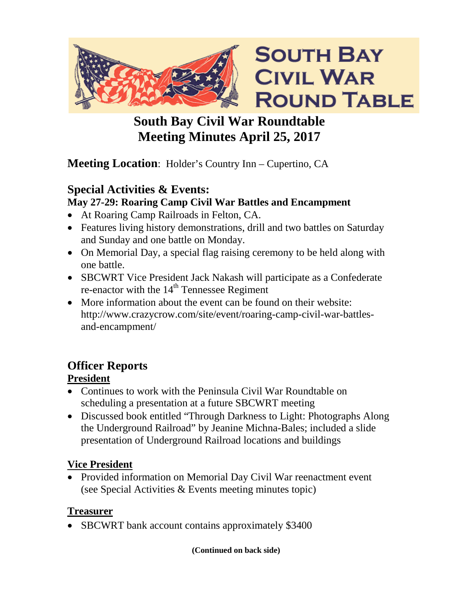

# **South Bay Civil War Roundtable Meeting Minutes April 25, 2017**

## **Meeting Location**: Holder's Country Inn – Cupertino, CA

# **Special Activities & Events:**

### **May 27-29: Roaring Camp Civil War Battles and Encampment**

- At Roaring Camp Railroads in Felton, CA.
- Features living history demonstrations, drill and two battles on Saturday and Sunday and one battle on Monday.
- On Memorial Day, a special flag raising ceremony to be held along with one battle.
- SBCWRT Vice President Jack Nakash will participate as a Confederate re-enactor with the  $14<sup>th</sup>$  Tennessee Regiment
- More information about the event can be found on their website: http://www.crazycrow.com/site/event/roaring-camp-civil-war-battlesand-encampment/

## **Officer Reports**

### **President**

- Continues to work with the Peninsula Civil War Roundtable on scheduling a presentation at a future SBCWRT meeting
- Discussed book entitled "Through Darkness to Light: Photographs Along the Underground Railroad" by Jeanine Michna-Bales; included a slide presentation of Underground Railroad locations and buildings

### **Vice President**

• Provided information on Memorial Day Civil War reenactment event (see Special Activities & Events meeting minutes topic)

### **Treasurer**

• SBCWRT bank account contains approximately \$3400

**(Continued on back side)**